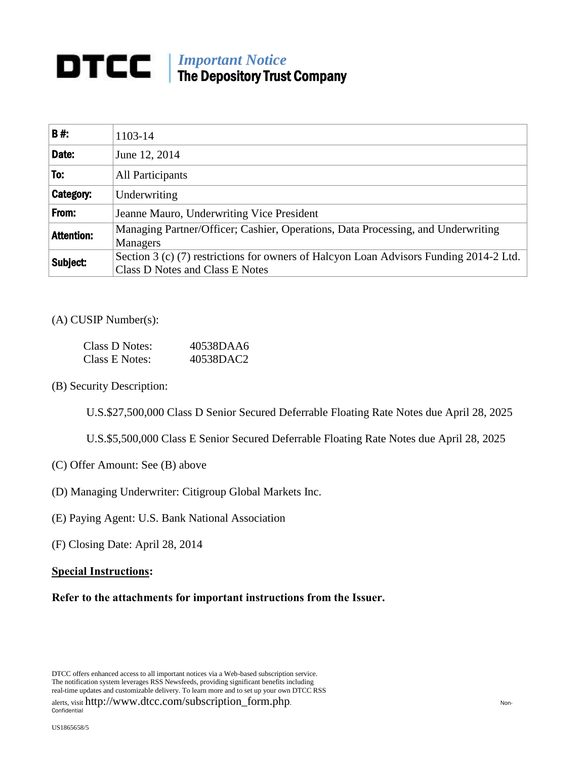## *Important Notice* The Depository Trust Company

| <b>B#:</b>        | 1103-14                                                                                                                   |  |
|-------------------|---------------------------------------------------------------------------------------------------------------------------|--|
| Date:             | June 12, 2014                                                                                                             |  |
| To:               | All Participants                                                                                                          |  |
| Category:         | Underwriting                                                                                                              |  |
| From:             | Jeanne Mauro, Underwriting Vice President                                                                                 |  |
| <b>Attention:</b> | Managing Partner/Officer; Cashier, Operations, Data Processing, and Underwriting<br>Managers                              |  |
| Subject:          | Section 3 (c) (7) restrictions for owners of Halcyon Loan Advisors Funding 2014-2 Ltd.<br>Class D Notes and Class E Notes |  |

## (A) CUSIP Number(s):

| Class D Notes: | 40538DAA6 |
|----------------|-----------|
| Class E Notes: | 40538DAC2 |

(B) Security Description:

U.S.\$27,500,000 Class D Senior Secured Deferrable Floating Rate Notes due April 28, 2025

U.S.\$5,500,000 Class E Senior Secured Deferrable Floating Rate Notes due April 28, 2025

- (C) Offer Amount: See (B) above
- (D) Managing Underwriter: Citigroup Global Markets Inc.
- (E) Paying Agent: U.S. Bank National Association
- (F) Closing Date: April 28, 2014

## **Special Instructions:**

**Refer to the attachments for important instructions from the Issuer.**

DTCC offers enhanced access to all important notices via a Web-based subscription service. The notification system leverages RSS Newsfeeds, providing significant benefits including real-time updates and customizable delivery. To learn more and to set up your own DTCC RSS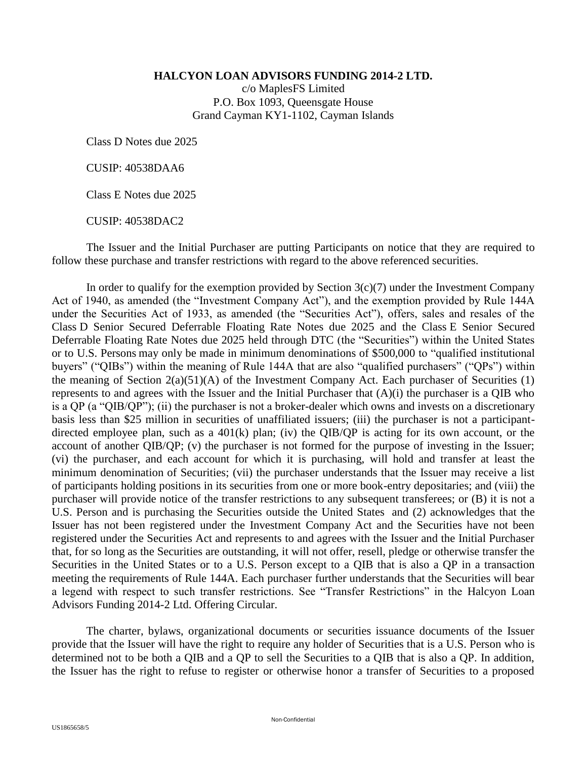**HALCYON LOAN ADVISORS FUNDING 2014-2 LTD.**

c/o MaplesFS Limited P.O. Box 1093, Queensgate House Grand Cayman KY1-1102, Cayman Islands

Class D Notes due 2025

CUSIP: 40538DAA6

Class E Notes due 2025

CUSIP: 40538DAC2

The Issuer and the Initial Purchaser are putting Participants on notice that they are required to follow these purchase and transfer restrictions with regard to the above referenced securities.

In order to qualify for the exemption provided by Section  $3(c)(7)$  under the Investment Company Act of 1940, as amended (the "Investment Company Act"), and the exemption provided by Rule 144A under the Securities Act of 1933, as amended (the "Securities Act"), offers, sales and resales of the Class D Senior Secured Deferrable Floating Rate Notes due 2025 and the Class E Senior Secured Deferrable Floating Rate Notes due 2025 held through DTC (the "Securities") within the United States or to U.S. Persons may only be made in minimum denominations of \$500,000 to "qualified institutional buyers" ("QIBs") within the meaning of Rule 144A that are also "qualified purchasers" ("QPs") within the meaning of Section  $2(a)(51)(A)$  of the Investment Company Act. Each purchaser of Securities (1) represents to and agrees with the Issuer and the Initial Purchaser that (A)(i) the purchaser is a QIB who is a QP (a "QIB/QP"); (ii) the purchaser is not a broker-dealer which owns and invests on a discretionary basis less than \$25 million in securities of unaffiliated issuers; (iii) the purchaser is not a participantdirected employee plan, such as a 401(k) plan; (iv) the QIB/QP is acting for its own account, or the account of another QIB/QP; (v) the purchaser is not formed for the purpose of investing in the Issuer; (vi) the purchaser, and each account for which it is purchasing, will hold and transfer at least the minimum denomination of Securities; (vii) the purchaser understands that the Issuer may receive a list of participants holding positions in its securities from one or more book-entry depositaries; and (viii) the purchaser will provide notice of the transfer restrictions to any subsequent transferees; or (B) it is not a U.S. Person and is purchasing the Securities outside the United States and (2) acknowledges that the Issuer has not been registered under the Investment Company Act and the Securities have not been registered under the Securities Act and represents to and agrees with the Issuer and the Initial Purchaser that, for so long as the Securities are outstanding, it will not offer, resell, pledge or otherwise transfer the Securities in the United States or to a U.S. Person except to a QIB that is also a QP in a transaction meeting the requirements of Rule 144A. Each purchaser further understands that the Securities will bear a legend with respect to such transfer restrictions. See "Transfer Restrictions" in the Halcyon Loan Advisors Funding 2014-2 Ltd. Offering Circular.

The charter, bylaws, organizational documents or securities issuance documents of the Issuer provide that the Issuer will have the right to require any holder of Securities that is a U.S. Person who is determined not to be both a QIB and a QP to sell the Securities to a QIB that is also a QP. In addition, the Issuer has the right to refuse to register or otherwise honor a transfer of Securities to a proposed